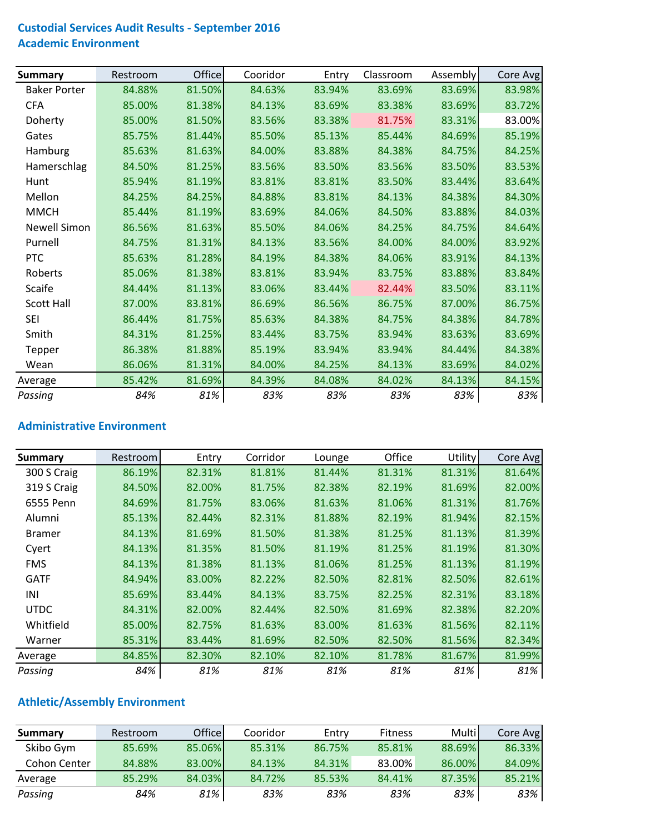#### **Custodial Services Audit Results ‐ September 2016 Academic Environment**

| <b>Summary</b>      | Restroom | <b>Office</b> | Cooridor | Entry  | Classroom | Assembly | Core Avg |
|---------------------|----------|---------------|----------|--------|-----------|----------|----------|
| <b>Baker Porter</b> | 84.88%   | 81.50%        | 84.63%   | 83.94% | 83.69%    | 83.69%   | 83.98%   |
| <b>CFA</b>          | 85.00%   | 81.38%        | 84.13%   | 83.69% | 83.38%    | 83.69%   | 83.72%   |
| Doherty             | 85.00%   | 81.50%        | 83.56%   | 83.38% | 81.75%    | 83.31%   | 83.00%   |
| Gates               | 85.75%   | 81.44%        | 85.50%   | 85.13% | 85.44%    | 84.69%   | 85.19%   |
| Hamburg             | 85.63%   | 81.63%        | 84.00%   | 83.88% | 84.38%    | 84.75%   | 84.25%   |
| Hamerschlag         | 84.50%   | 81.25%        | 83.56%   | 83.50% | 83.56%    | 83.50%   | 83.53%   |
| Hunt                | 85.94%   | 81.19%        | 83.81%   | 83.81% | 83.50%    | 83.44%   | 83.64%   |
| Mellon              | 84.25%   | 84.25%        | 84.88%   | 83.81% | 84.13%    | 84.38%   | 84.30%   |
| <b>MMCH</b>         | 85.44%   | 81.19%        | 83.69%   | 84.06% | 84.50%    | 83.88%   | 84.03%   |
| <b>Newell Simon</b> | 86.56%   | 81.63%        | 85.50%   | 84.06% | 84.25%    | 84.75%   | 84.64%   |
| Purnell             | 84.75%   | 81.31%        | 84.13%   | 83.56% | 84.00%    | 84.00%   | 83.92%   |
| PTC                 | 85.63%   | 81.28%        | 84.19%   | 84.38% | 84.06%    | 83.91%   | 84.13%   |
| Roberts             | 85.06%   | 81.38%        | 83.81%   | 83.94% | 83.75%    | 83.88%   | 83.84%   |
| <b>Scaife</b>       | 84.44%   | 81.13%        | 83.06%   | 83.44% | 82.44%    | 83.50%   | 83.11%   |
| <b>Scott Hall</b>   | 87.00%   | 83.81%        | 86.69%   | 86.56% | 86.75%    | 87.00%   | 86.75%   |
| <b>SEI</b>          | 86.44%   | 81.75%        | 85.63%   | 84.38% | 84.75%    | 84.38%   | 84.78%   |
| Smith               | 84.31%   | 81.25%        | 83.44%   | 83.75% | 83.94%    | 83.63%   | 83.69%   |
| Tepper              | 86.38%   | 81.88%        | 85.19%   | 83.94% | 83.94%    | 84.44%   | 84.38%   |
| Wean                | 86.06%   | 81.31%        | 84.00%   | 84.25% | 84.13%    | 83.69%   | 84.02%   |
| Average             | 85.42%   | 81.69%        | 84.39%   | 84.08% | 84.02%    | 84.13%   | 84.15%   |
| Passing             | 84%      | 81%           | 83%      | 83%    | 83%       | 83%      | 83%      |

#### **Administrative Environment**

| Summary       | Restroom | Entry  | Corridor | Lounge | Office | <b>Utility</b> | Core Avg |
|---------------|----------|--------|----------|--------|--------|----------------|----------|
| 300 S Craig   | 86.19%   | 82.31% | 81.81%   | 81.44% | 81.31% | 81.31%         | 81.64%   |
| 319 S Craig   | 84.50%   | 82.00% | 81.75%   | 82.38% | 82.19% | 81.69%         | 82.00%   |
| 6555 Penn     | 84.69%   | 81.75% | 83.06%   | 81.63% | 81.06% | 81.31%         | 81.76%   |
| Alumni        | 85.13%   | 82.44% | 82.31%   | 81.88% | 82.19% | 81.94%         | 82.15%   |
| <b>Bramer</b> | 84.13%   | 81.69% | 81.50%   | 81.38% | 81.25% | 81.13%         | 81.39%   |
| Cyert         | 84.13%   | 81.35% | 81.50%   | 81.19% | 81.25% | 81.19%         | 81.30%   |
| <b>FMS</b>    | 84.13%   | 81.38% | 81.13%   | 81.06% | 81.25% | 81.13%         | 81.19%   |
| <b>GATF</b>   | 84.94%   | 83.00% | 82.22%   | 82.50% | 82.81% | 82.50%         | 82.61%   |
| INI           | 85.69%   | 83.44% | 84.13%   | 83.75% | 82.25% | 82.31%         | 83.18%   |
| <b>UTDC</b>   | 84.31%   | 82.00% | 82.44%   | 82.50% | 81.69% | 82.38%         | 82.20%   |
| Whitfield     | 85.00%   | 82.75% | 81.63%   | 83.00% | 81.63% | 81.56%         | 82.11%   |
| Warner        | 85.31%   | 83.44% | 81.69%   | 82.50% | 82.50% | 81.56%         | 82.34%   |
| Average       | 84.85%   | 82.30% | 82.10%   | 82.10% | 81.78% | 81.67%         | 81.99%   |
| Passing       | 84%      | 81%    | 81%      | 81%    | 81%    | 81%            | 81%      |

## **Athletic/Assembly Environment**

| Summary      | Restroom | <b>Office</b> | Cooridor | Entry  | <b>Fitness</b> | Multi  | Core Avg |
|--------------|----------|---------------|----------|--------|----------------|--------|----------|
| Skibo Gym    | 85.69%   | 85.06%        | 85.31%   | 86.75% | 85.81%         | 88.69% | 86.33%   |
| Cohon Center | 84.88%   | 83.00%        | 84.13%   | 84.31% | 83.00%         | 86.00% | 84.09%   |
| Average      | 85.29%   | 84.03%        | 84.72%   | 85.53% | 84.41%         | 87.35% | 85.21%   |
| Passing      | 84%      | 81%           | 83%      | 83%    | 83%            | 83%    | 83%      |